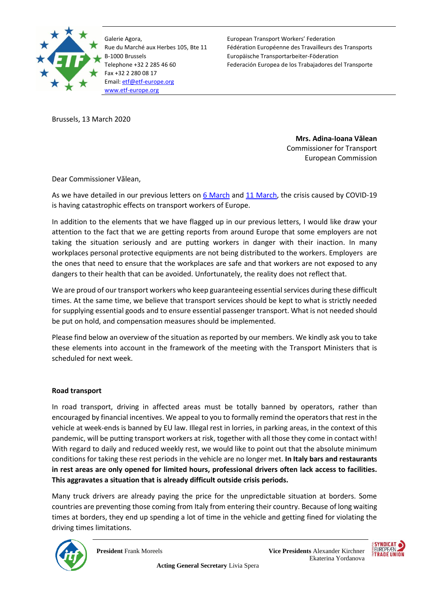

Galerie Agora, Rue du Marché aux Herbes 105, Bte 11 B-1000 Brussels Telephone +32 2 285 46 60 Fax +32 2 280 08 17 Email[: etf@etf-europe.org](mailto:etf@etf-europe.org) [www.etf-europe.org](http://www.etf-europe.org/)

European Transport Workers' Federation Fédération Européenne des Travailleurs des Transports Europäische Transportarbeiter-Föderation Federación Europea de los Trabajadores del Transporte

Brussels, 13 March 2020

**Mrs. Adina-Ioana Vălean**  Commissioner for Transport European Commission

Dear Commissioner Vălean,

As we have detailed in our previous letters o[n 6 March](https://www.etf-europe.org/wp-content/uploads/2020/03/ETF-letter-on-the-effects-of-COVID-19-on-transport-workers-and-the-actions-needed-at-EU-level.pdf) and [11 March,](https://www.etf-europe.org/wp-content/uploads/2020/03/ETF-letter_social-measures_COVID19_110320-1.pdf) the crisis caused by COVID-19 is having catastrophic effects on transport workers of Europe.

In addition to the elements that we have flagged up in our previous letters, I would like draw your attention to the fact that we are getting reports from around Europe that some employers are not taking the situation seriously and are putting workers in danger with their inaction. In many workplaces personal protective equipments are not being distributed to the workers. Employers are the ones that need to ensure that the workplaces are safe and that workers are not exposed to any dangers to their health that can be avoided. Unfortunately, the reality does not reflect that.

We are proud of our transport workers who keep guaranteeing essential services during these difficult times. At the same time, we believe that transport services should be kept to what is strictly needed for supplying essential goods and to ensure essential passenger transport. What is not needed should be put on hold, and compensation measures should be implemented.

Please find below an overview of the situation as reported by our members. We kindly ask you to take these elements into account in the framework of the meeting with the Transport Ministers that is scheduled for next week.

## **Road transport**

In road transport, driving in affected areas must be totally banned by operators, rather than encouraged by financial incentives. We appeal to you to formally remind the operators that rest in the vehicle at week-ends is banned by EU law. Illegal rest in lorries, in parking areas, in the context of this pandemic, will be putting transport workers at risk, together with all those they come in contact with! With regard to daily and reduced weekly rest, we would like to point out that the absolute minimum conditions for taking these rest periods in the vehicle are no longer met. **In Italy bars and restaurants in rest areas are only opened for limited hours, professional drivers often lack access to facilities. This aggravates a situation that is already difficult outside crisis periods.**

Many truck drivers are already paying the price for the unpredictable situation at borders. Some countries are preventing those coming from Italy from entering their country. Because of long waiting times at borders, they end up spending a lot of time in the vehicle and getting fined for violating the driving times limitations.

 **Acting General Secretary** Livia Spera



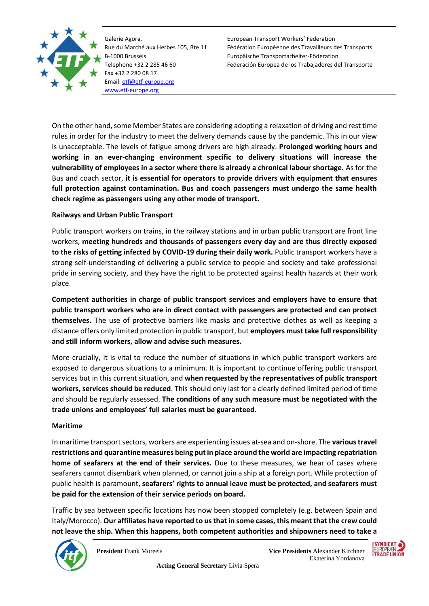

Galerie Agora, Rue du Marché aux Herbes 105, Bte 11 B-1000 Brussels Telephone +32 2 285 46 60 Fax +32 2 280 08 17 Email[: etf@etf-europe.org](mailto:etf@etf-europe.org) [www.etf-europe.org](http://www.etf-europe.org/)

European Transport Workers' Federation Fédération Européenne des Travailleurs des Transports Europäische Transportarbeiter-Föderation Federación Europea de los Trabajadores del Transporte

On the other hand, some Member States are considering adopting a relaxation of driving and rest time rules in order for the industry to meet the delivery demands cause by the pandemic. This in our view is unacceptable. The levels of fatigue among drivers are high already. **Prolonged working hours and working in an ever-changing environment specific to delivery situations will increase the vulnerability of employees in a sector where there is already a chronical labour shortage.** As for the Bus and coach sector, **it is essential for operators to provide drivers with equipment that ensures full protection against contamination. Bus and coach passengers must undergo the same health check regime as passengers using any other mode of transport.** 

## **Railways and Urban Public Transport**

Public transport workers on trains, in the railway stations and in urban public transport are front line workers, **meeting hundreds and thousands of passengers every day and are thus directly exposed to the risks of getting infected by COVID-19 during their daily work.** Public transport workers have a strong self-understanding of delivering a public service to people and society and take professional pride in serving society, and they have the right to be protected against health hazards at their work place.

**Competent authorities in charge of public transport services and employers have to ensure that public transport workers who are in direct contact with passengers are protected and can protect themselves.** The use of protective barriers like masks and protective clothes as well as keeping a distance offers only limited protection in public transport, but **employers must take full responsibility and still inform workers, allow and advise such measures.**

More crucially, it is vital to reduce the number of situations in which public transport workers are exposed to dangerous situations to a minimum. It is important to continue offering public transport services but in this current situation, and **when requested by the representatives of public transport workers, services should be reduced**. This should only last for a clearly defined limited period of time and should be regularly assessed. **The conditions of any such measure must be negotiated with the trade unions and employees' full salaries must be guaranteed.** 

## **Maritime**

In maritime transport sectors, workers are experiencing issues at-sea and on-shore. The **various travel restrictions and quarantine measures being put in place around the world are impacting repatriation home of seafarers at the end of their services.** Due to these measures, we hear of cases where seafarers cannot disembark when planned, or cannot join a ship at a foreign port. While protection of public health is paramount, **seafarers' rights to annual leave must be protected, and seafarers must be paid for the extension of their service periods on board.**

Traffic by sea between specific locations has now been stopped completely (e.g. between Spain and Italy/Morocco). **Our affiliates have reported to us that in some cases, this meant that the crew could not leave the ship. When this happens, both competent authorities and shipowners need to take a** 

 **Acting General Secretary** Livia Spera